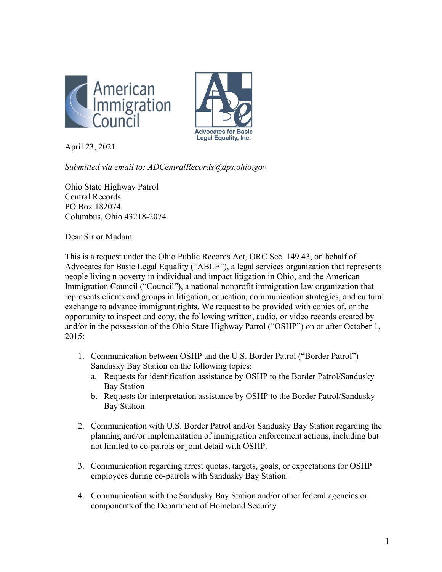



April 23, 2021

*Submitted via email to: ADCentralRecords@dps.ohio.gov*

Ohio State Highway Patrol Central Records PO Box 182074 Columbus, Ohio 43218-2074

Dear Sir or Madam:

This is a request under the Ohio Public Records Act, ORC Sec. 149.43, on behalf of Advocates for Basic Legal Equality ("ABLE"), a legal services organization that represents people living n poverty in individual and impact litigation in Ohio, and the American Immigration Council ("Council"), a national nonprofit immigration law organization that represents clients and groups in litigation, education, communication strategies, and cultural exchange to advance immigrant rights. We request to be provided with copies of, or the opportunity to inspect and copy, the following written, audio, or video records created by and/or in the possession of the Ohio State Highway Patrol ("OSHP") on or after October 1, 2015:

- 1. Communication between OSHP and the U.S. Border Patrol ("Border Patrol") Sandusky Bay Station on the following topics:
	- a. Requests for identification assistance by OSHP to the Border Patrol/Sandusky Bay Station
	- b. Requests for interpretation assistance by OSHP to the Border Patrol/Sandusky Bay Station
- 2. Communication with U.S. Border Patrol and/or Sandusky Bay Station regarding the planning and/or implementation of immigration enforcement actions, including but not limited to co-patrols or joint detail with OSHP.
- 3. Communication regarding arrest quotas, targets, goals, or expectations for OSHP employees during co-patrols with Sandusky Bay Station.
- 4. Communication with the Sandusky Bay Station and/or other federal agencies or components of the Department of Homeland Security